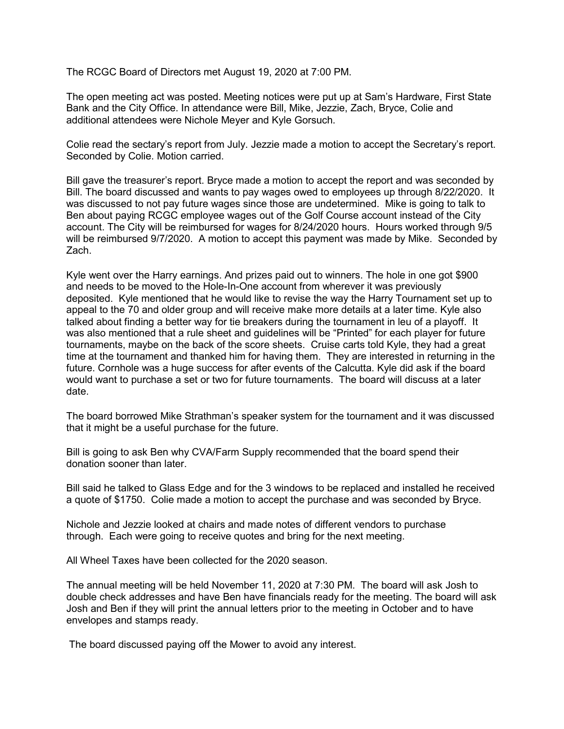The RCGC Board of Directors met August 19, 2020 at 7:00 PM.

The open meeting act was posted. Meeting notices were put up at Sam's Hardware, First State Bank and the City Office. In attendance were Bill, Mike, Jezzie, Zach, Bryce, Colie and additional attendees were Nichole Meyer and Kyle Gorsuch.

Colie read the sectary's report from July. Jezzie made a motion to accept the Secretary's report. Seconded by Colie. Motion carried.

Bill gave the treasurer's report. Bryce made a motion to accept the report and was seconded by Bill. The board discussed and wants to pay wages owed to employees up through 8/22/2020. It was discussed to not pay future wages since those are undetermined. Mike is going to talk to Ben about paying RCGC employee wages out of the Golf Course account instead of the City account. The City will be reimbursed for wages for 8/24/2020 hours. Hours worked through 9/5 will be reimbursed 9/7/2020. A motion to accept this payment was made by Mike. Seconded by Zach.

Kyle went over the Harry earnings. And prizes paid out to winners. The hole in one got \$900 and needs to be moved to the Hole-In-One account from wherever it was previously deposited. Kyle mentioned that he would like to revise the way the Harry Tournament set up to appeal to the 70 and older group and will receive make more details at a later time. Kyle also talked about finding a better way for tie breakers during the tournament in leu of a playoff. It was also mentioned that a rule sheet and guidelines will be "Printed" for each player for future tournaments, maybe on the back of the score sheets. Cruise carts told Kyle, they had a great time at the tournament and thanked him for having them. They are interested in returning in the future. Cornhole was a huge success for after events of the Calcutta. Kyle did ask if the board would want to purchase a set or two for future tournaments. The board will discuss at a later date.

The board borrowed Mike Strathman's speaker system for the tournament and it was discussed that it might be a useful purchase for the future.

Bill is going to ask Ben why CVA/Farm Supply recommended that the board spend their donation sooner than later.

Bill said he talked to Glass Edge and for the 3 windows to be replaced and installed he received a quote of \$1750. Colie made a motion to accept the purchase and was seconded by Bryce.

Nichole and Jezzie looked at chairs and made notes of different vendors to purchase through. Each were going to receive quotes and bring for the next meeting.

All Wheel Taxes have been collected for the 2020 season.

The annual meeting will be held November 11, 2020 at 7:30 PM. The board will ask Josh to double check addresses and have Ben have financials ready for the meeting. The board will ask Josh and Ben if they will print the annual letters prior to the meeting in October and to have envelopes and stamps ready.

The board discussed paying off the Mower to avoid any interest.